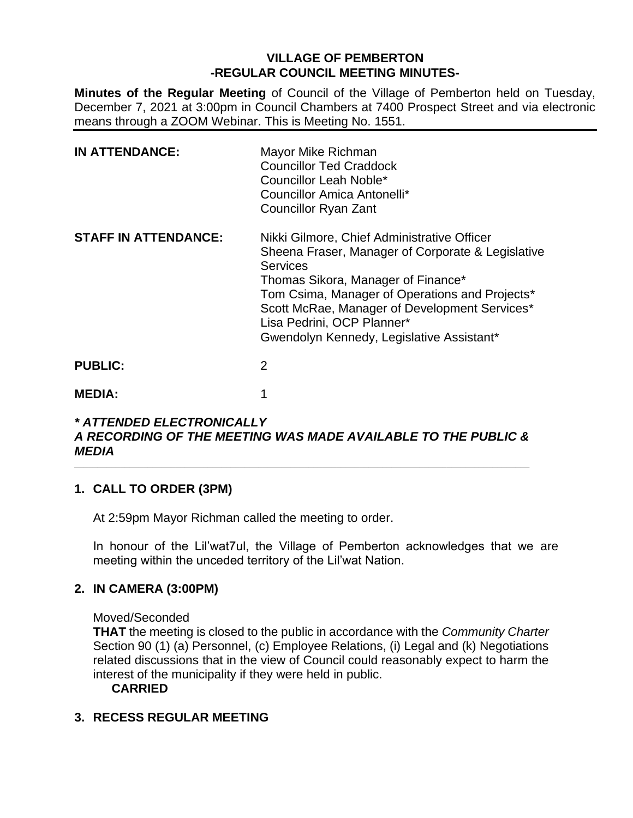## **VILLAGE OF PEMBERTON -REGULAR COUNCIL MEETING MINUTES-**

**Minutes of the Regular Meeting** of Council of the Village of Pemberton held on Tuesday, December 7, 2021 at 3:00pm in Council Chambers at 7400 Prospect Street and via electronic means through a ZOOM Webinar. This is Meeting No. 1551.

| <b>IN ATTENDANCE:</b>       | Mayor Mike Richman<br><b>Councillor Ted Craddock</b><br>Councillor Leah Noble*<br>Councillor Amica Antonelli*<br><b>Councillor Ryan Zant</b>                                                                                                                                                                                            |
|-----------------------------|-----------------------------------------------------------------------------------------------------------------------------------------------------------------------------------------------------------------------------------------------------------------------------------------------------------------------------------------|
| <b>STAFF IN ATTENDANCE:</b> | Nikki Gilmore, Chief Administrative Officer<br>Sheena Fraser, Manager of Corporate & Legislative<br><b>Services</b><br>Thomas Sikora, Manager of Finance*<br>Tom Csima, Manager of Operations and Projects*<br>Scott McRae, Manager of Development Services*<br>Lisa Pedrini, OCP Planner*<br>Gwendolyn Kennedy, Legislative Assistant* |
| <b>PUBLIC:</b>              | 2                                                                                                                                                                                                                                                                                                                                       |
| <b>MEDIA:</b>               |                                                                                                                                                                                                                                                                                                                                         |

#### *\* ATTENDED ELECTRONICALLY A RECORDING OF THE MEETING WAS MADE AVAILABLE TO THE PUBLIC & MEDIA*  $\_$  ,  $\_$  ,  $\_$  ,  $\_$  ,  $\_$  ,  $\_$  ,  $\_$  ,  $\_$  ,  $\_$  ,  $\_$  ,  $\_$  ,  $\_$  ,  $\_$  ,  $\_$  ,  $\_$  ,  $\_$  ,  $\_$  ,  $\_$  ,  $\_$  ,  $\_$  ,  $\_$  ,  $\_$  ,  $\_$  ,  $\_$  ,  $\_$  ,  $\_$  ,  $\_$  ,  $\_$  ,  $\_$  ,  $\_$  ,  $\_$  ,  $\_$  ,  $\_$  ,  $\_$  ,  $\_$  ,  $\_$  ,  $\_$  ,

# **1. CALL TO ORDER (3PM)**

At 2:59pm Mayor Richman called the meeting to order.

In honour of the Lil'wat7ul, the Village of Pemberton acknowledges that we are meeting within the unceded territory of the Lil'wat Nation.

# **2. IN CAMERA (3:00PM)**

#### Moved/Seconded

**THAT** the meeting is closed to the public in accordance with the *Community Charter* Section 90 (1) (a) Personnel, (c) Employee Relations, (i) Legal and (k) Negotiations related discussions that in the view of Council could reasonably expect to harm the interest of the municipality if they were held in public.

**CARRIED**

# **3. RECESS REGULAR MEETING**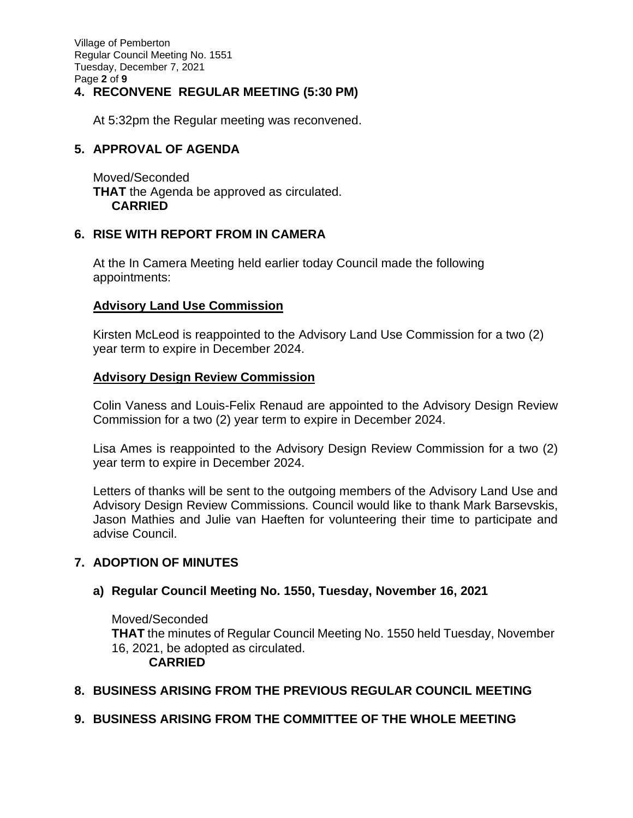Village of Pemberton Regular Council Meeting No. 1551 Tuesday, December 7, 2021 Page **2** of **9**

# **4. RECONVENE REGULAR MEETING (5:30 PM)**

At 5:32pm the Regular meeting was reconvened.

# **5. APPROVAL OF AGENDA**

Moved/Seconded **THAT** the Agenda be approved as circulated. **CARRIED**

## **6. RISE WITH REPORT FROM IN CAMERA**

At the In Camera Meeting held earlier today Council made the following appointments:

# **Advisory Land Use Commission**

Kirsten McLeod is reappointed to the Advisory Land Use Commission for a two (2) year term to expire in December 2024.

## **Advisory Design Review Commission**

Colin Vaness and Louis-Felix Renaud are appointed to the Advisory Design Review Commission for a two (2) year term to expire in December 2024.

Lisa Ames is reappointed to the Advisory Design Review Commission for a two (2) year term to expire in December 2024.

Letters of thanks will be sent to the outgoing members of the Advisory Land Use and Advisory Design Review Commissions. Council would like to thank Mark Barsevskis, Jason Mathies and Julie van Haeften for volunteering their time to participate and advise Council.

# **7. ADOPTION OF MINUTES**

## **a) Regular Council Meeting No. 1550, Tuesday, November 16, 2021**

Moved/Seconded **THAT** the minutes of Regular Council Meeting No. 1550 held Tuesday, November 16, 2021, be adopted as circulated.

#### **CARRIED**

# **8. BUSINESS ARISING FROM THE PREVIOUS REGULAR COUNCIL MEETING**

## **9. BUSINESS ARISING FROM THE COMMITTEE OF THE WHOLE MEETING**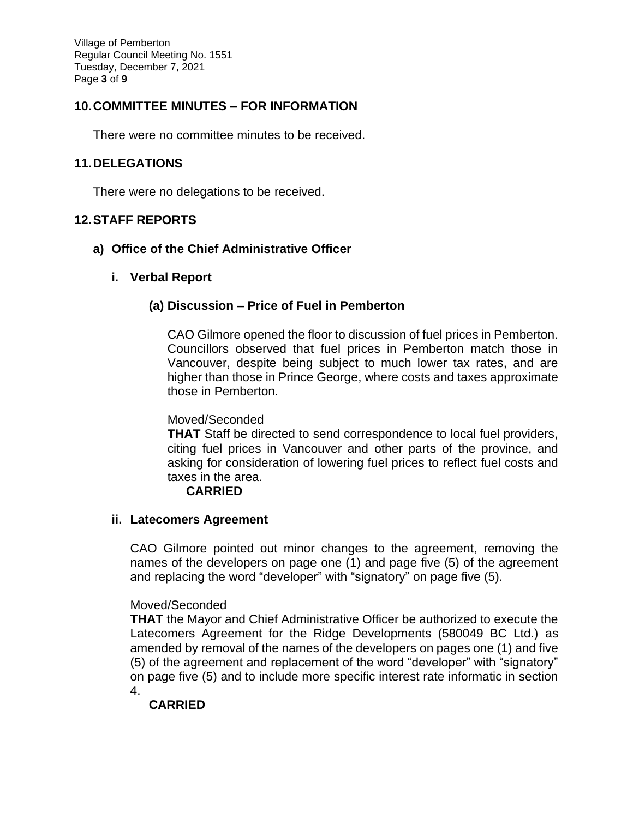Village of Pemberton Regular Council Meeting No. 1551 Tuesday, December 7, 2021 Page **3** of **9**

# **10.COMMITTEE MINUTES – FOR INFORMATION**

There were no committee minutes to be received.

#### **11.DELEGATIONS**

There were no delegations to be received.

#### **12.STAFF REPORTS**

#### **a) Office of the Chief Administrative Officer**

#### **i. Verbal Report**

#### **(a) Discussion – Price of Fuel in Pemberton**

CAO Gilmore opened the floor to discussion of fuel prices in Pemberton. Councillors observed that fuel prices in Pemberton match those in Vancouver, despite being subject to much lower tax rates, and are higher than those in Prince George, where costs and taxes approximate those in Pemberton.

#### Moved/Seconded

**THAT** Staff be directed to send correspondence to local fuel providers, citing fuel prices in Vancouver and other parts of the province, and asking for consideration of lowering fuel prices to reflect fuel costs and taxes in the area.

## **CARRIED**

#### **ii. Latecomers Agreement**

CAO Gilmore pointed out minor changes to the agreement, removing the names of the developers on page one (1) and page five (5) of the agreement and replacing the word "developer" with "signatory" on page five (5).

#### Moved/Seconded

**THAT** the Mayor and Chief Administrative Officer be authorized to execute the Latecomers Agreement for the Ridge Developments (580049 BC Ltd.) as amended by removal of the names of the developers on pages one (1) and five (5) of the agreement and replacement of the word "developer" with "signatory" on page five (5) and to include more specific interest rate informatic in section 4.

## **CARRIED**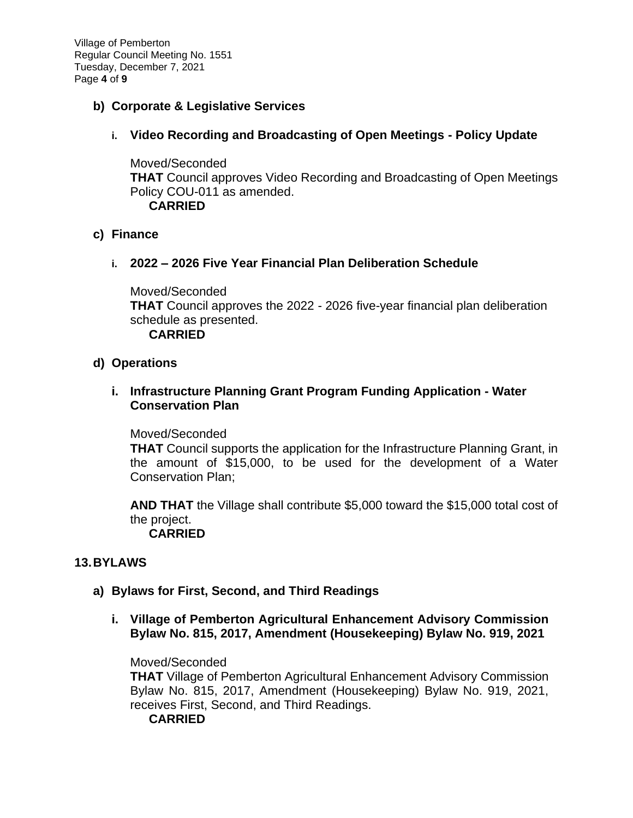Village of Pemberton Regular Council Meeting No. 1551 Tuesday, December 7, 2021 Page **4** of **9**

# **b) Corporate & Legislative Services**

## **i. Video Recording and Broadcasting of Open Meetings - Policy Update**

Moved/Seconded **THAT** Council approves Video Recording and Broadcasting of Open Meetings Policy COU-011 as amended. **CARRIED**

## **c) Finance**

## **i. 2022 – 2026 Five Year Financial Plan Deliberation Schedule**

Moved/Seconded **THAT** Council approves the 2022 - 2026 five-year financial plan deliberation schedule as presented. **CARRIED**

## **d) Operations**

## **i. Infrastructure Planning Grant Program Funding Application - Water Conservation Plan**

#### Moved/Seconded

**THAT** Council supports the application for the Infrastructure Planning Grant, in the amount of \$15,000, to be used for the development of a Water Conservation Plan;

**AND THAT** the Village shall contribute \$5,000 toward the \$15,000 total cost of the project.

## **CARRIED**

## **13.BYLAWS**

## **a) Bylaws for First, Second, and Third Readings**

**i. Village of Pemberton Agricultural Enhancement Advisory Commission Bylaw No. 815, 2017, Amendment (Housekeeping) Bylaw No. 919, 2021**

Moved/Seconded

**THAT** Village of Pemberton Agricultural Enhancement Advisory Commission Bylaw No. 815, 2017, Amendment (Housekeeping) Bylaw No. 919, 2021, receives First, Second, and Third Readings. **CARRIED**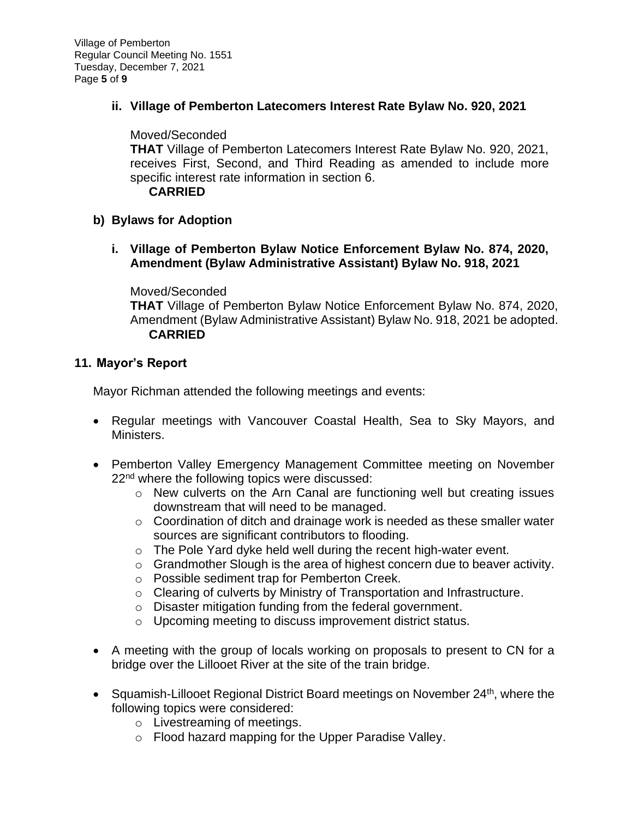**ii. Village of Pemberton Latecomers Interest Rate Bylaw No. 920, 2021**

Moved/Seconded

**THAT** Village of Pemberton Latecomers Interest Rate Bylaw No. 920, 2021, receives First, Second, and Third Reading as amended to include more specific interest rate information in section 6.

**CARRIED**

# **b) Bylaws for Adoption**

**i. Village of Pemberton Bylaw Notice Enforcement Bylaw No. 874, 2020, Amendment (Bylaw Administrative Assistant) Bylaw No. 918, 2021**

Moved/Seconded

**THAT** Village of Pemberton Bylaw Notice Enforcement Bylaw No. 874, 2020, Amendment (Bylaw Administrative Assistant) Bylaw No. 918, 2021 be adopted. **CARRIED**

# **11. Mayor's Report**

Mayor Richman attended the following meetings and events:

- Regular meetings with Vancouver Coastal Health, Sea to Sky Mayors, and Ministers.
- Pemberton Valley Emergency Management Committee meeting on November 22<sup>nd</sup> where the following topics were discussed:
	- o New culverts on the Arn Canal are functioning well but creating issues downstream that will need to be managed.
	- o Coordination of ditch and drainage work is needed as these smaller water sources are significant contributors to flooding.
	- o The Pole Yard dyke held well during the recent high-water event.
	- o Grandmother Slough is the area of highest concern due to beaver activity.
	- o Possible sediment trap for Pemberton Creek.
	- $\circ$  Clearing of culverts by Ministry of Transportation and Infrastructure.
	- o Disaster mitigation funding from the federal government.
	- o Upcoming meeting to discuss improvement district status.
- A meeting with the group of locals working on proposals to present to CN for a bridge over the Lillooet River at the site of the train bridge.
- Squamish-Lillooet Regional District Board meetings on November 24<sup>th</sup>, where the following topics were considered:
	- o Livestreaming of meetings.
	- o Flood hazard mapping for the Upper Paradise Valley.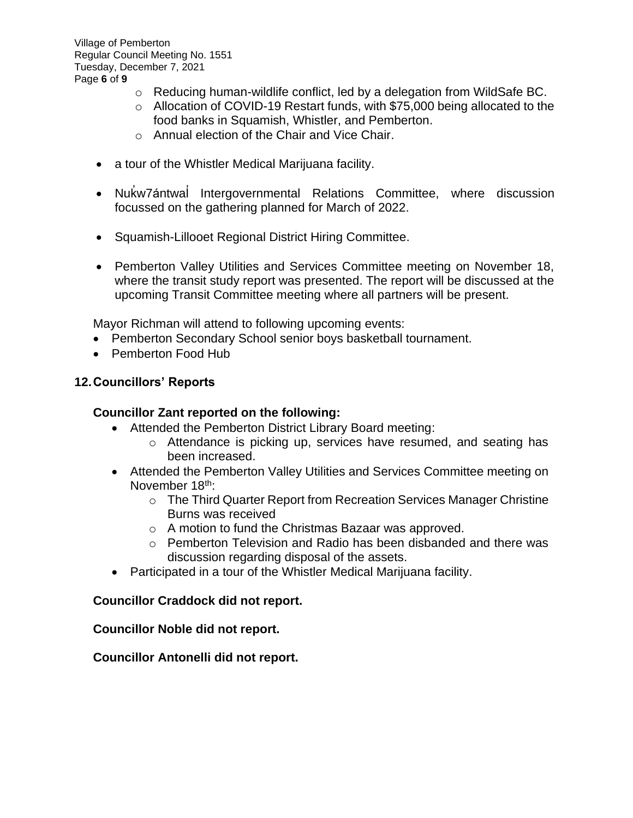- $\circ$  Reducing human-wildlife conflict, led by a delegation from WildSafe BC.
- o Allocation of COVID-19 Restart funds, with \$75,000 being allocated to the food banks in Squamish, Whistler, and Pemberton.
- o Annual election of the Chair and Vice Chair.
- a tour of the Whistler Medical Marijuana facility.
- Nuk ̓w7ántwal Intergovernmental Relations Committee, where discussion ̓ focussed on the gathering planned for March of 2022.
- Squamish-Lillooet Regional District Hiring Committee.
- Pemberton Valley Utilities and Services Committee meeting on November 18, where the transit study report was presented. The report will be discussed at the upcoming Transit Committee meeting where all partners will be present.

Mayor Richman will attend to following upcoming events:

- Pemberton Secondary School senior boys basketball tournament.
- Pemberton Food Hub

## **12.Councillors' Reports**

#### **Councillor Zant reported on the following:**

- Attended the Pemberton District Library Board meeting:
	- o Attendance is picking up, services have resumed, and seating has been increased.
- Attended the Pemberton Valley Utilities and Services Committee meeting on November 18<sup>th</sup>:
	- o The Third Quarter Report from Recreation Services Manager Christine Burns was received
	- o A motion to fund the Christmas Bazaar was approved.
	- $\circ$  Pemberton Television and Radio has been disbanded and there was discussion regarding disposal of the assets.
- Participated in a tour of the Whistler Medical Marijuana facility.

## **Councillor Craddock did not report.**

**Councillor Noble did not report.**

**Councillor Antonelli did not report.**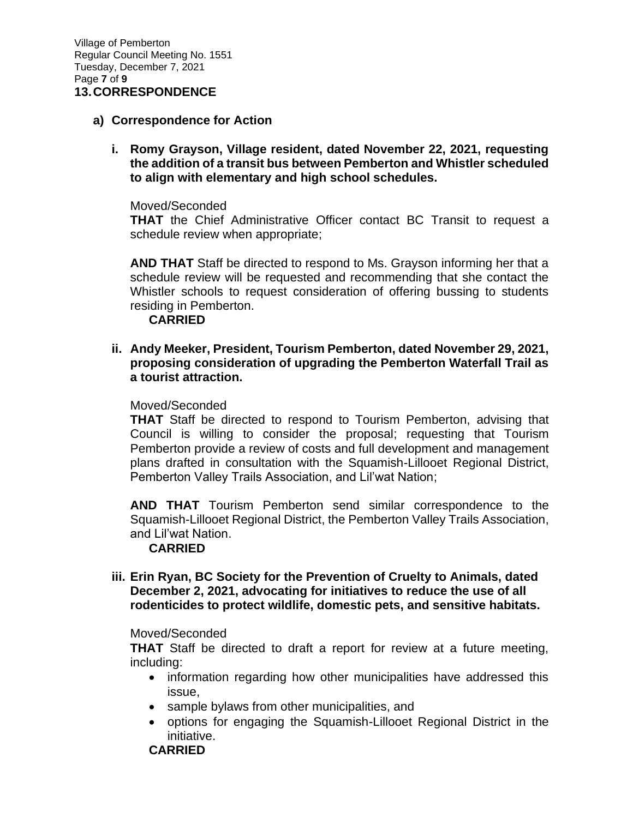#### **a) Correspondence for Action**

**i. Romy Grayson, Village resident, dated November 22, 2021, requesting the addition of a transit bus between Pemberton and Whistler scheduled to align with elementary and high school schedules.** 

Moved/Seconded

**THAT** the Chief Administrative Officer contact BC Transit to request a schedule review when appropriate;

**AND THAT** Staff be directed to respond to Ms. Grayson informing her that a schedule review will be requested and recommending that she contact the Whistler schools to request consideration of offering bussing to students residing in Pemberton.

#### **CARRIED**

**ii. Andy Meeker, President, Tourism Pemberton, dated November 29, 2021, proposing consideration of upgrading the Pemberton Waterfall Trail as a tourist attraction.** 

#### Moved/Seconded

**THAT** Staff be directed to respond to Tourism Pemberton, advising that Council is willing to consider the proposal; requesting that Tourism Pemberton provide a review of costs and full development and management plans drafted in consultation with the Squamish-Lillooet Regional District, Pemberton Valley Trails Association, and Lil'wat Nation;

**AND THAT** Tourism Pemberton send similar correspondence to the Squamish-Lillooet Regional District, the Pemberton Valley Trails Association, and Lil'wat Nation.

#### **CARRIED**

#### **iii. Erin Ryan, BC Society for the Prevention of Cruelty to Animals, dated December 2, 2021, advocating for initiatives to reduce the use of all rodenticides to protect wildlife, domestic pets, and sensitive habitats.**

#### Moved/Seconded

**THAT** Staff be directed to draft a report for review at a future meeting, including:

- information regarding how other municipalities have addressed this issue,
- sample bylaws from other municipalities, and
- options for engaging the Squamish-Lillooet Regional District in the initiative.

## **CARRIED**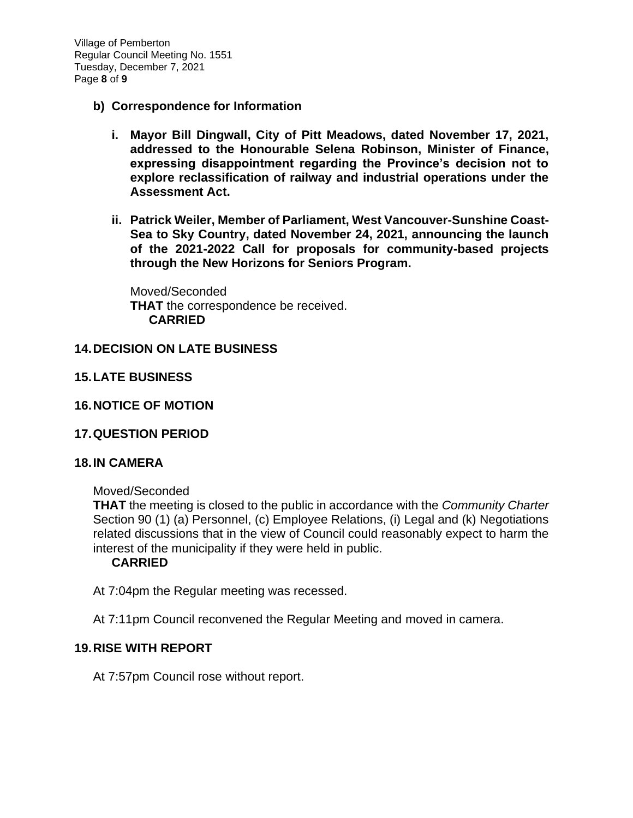Village of Pemberton Regular Council Meeting No. 1551 Tuesday, December 7, 2021 Page **8** of **9**

- **b) Correspondence for Information**
	- **i. Mayor Bill Dingwall, City of Pitt Meadows, dated November 17, 2021, addressed to the Honourable Selena Robinson, Minister of Finance, expressing disappointment regarding the Province's decision not to explore reclassification of railway and industrial operations under the Assessment Act.**
	- **ii. Patrick Weiler, Member of Parliament, West Vancouver-Sunshine Coast-Sea to Sky Country, dated November 24, 2021, announcing the launch of the 2021-2022 Call for proposals for community-based projects through the New Horizons for Seniors Program.**

Moved/Seconded **THAT** the correspondence be received. **CARRIED**

#### **14.DECISION ON LATE BUSINESS**

## **15.LATE BUSINESS**

- **16.NOTICE OF MOTION**
- **17.QUESTION PERIOD**

#### **18.IN CAMERA**

Moved/Seconded

**THAT** the meeting is closed to the public in accordance with the *Community Charter* Section 90 (1) (a) Personnel, (c) Employee Relations, (i) Legal and (k) Negotiations related discussions that in the view of Council could reasonably expect to harm the interest of the municipality if they were held in public.

#### **CARRIED**

At 7:04pm the Regular meeting was recessed.

At 7:11pm Council reconvened the Regular Meeting and moved in camera.

#### **19.RISE WITH REPORT**

At 7:57pm Council rose without report.